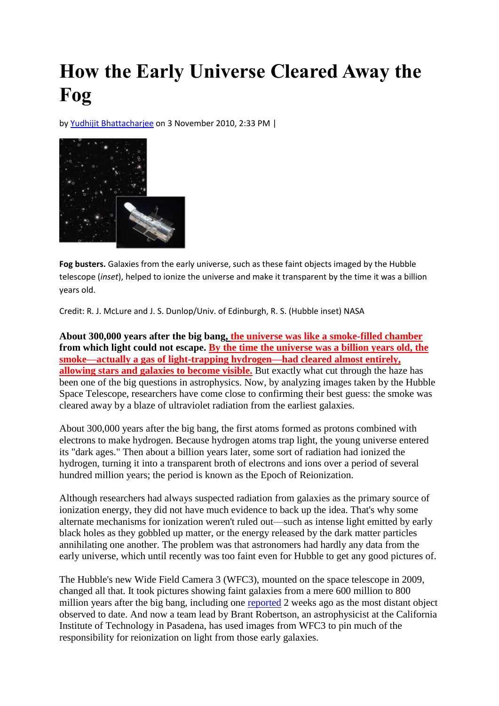## **How the Early Universe Cleared Away the Fog**

by [Yudhijit Bhattacharjee](http://news.sciencemag.org/sciencenow/author/yudhijit-bhattacharjee/index.html) on 3 November 2010, 2:33 PM |



**Fog busters.** Galaxies from the early universe, such as these faint objects imaged by the Hubble telescope (*inset*), helped to ionize the universe and make it transparent by the time it was a billion years old.

Credit: R. J. McLure and J. S. Dunlop/Univ. of Edinburgh, R. S. (Hubble inset) NASA

**About 300,000 years after the big bang, the universe was like a smoke-filled chamber from which light could not escape. By the time the universe was a billion years old, the smoke—actually a gas of light-trapping hydrogen—had cleared almost entirely, allowing stars and galaxies to become visible.** But exactly what cut through the haze has been one of the big questions in astrophysics. Now, by analyzing images taken by the Hubble Space Telescope, researchers have come close to confirming their best guess: the smoke was cleared away by a blaze of ultraviolet radiation from the earliest galaxies.

About 300,000 years after the big bang, the first atoms formed as protons combined with electrons to make hydrogen. Because hydrogen atoms trap light, the young universe entered its "dark ages." Then about a billion years later, some sort of radiation had ionized the hydrogen, turning it into a transparent broth of electrons and ions over a period of several hundred million years; the period is known as the Epoch of Reionization.

Although researchers had always suspected radiation from galaxies as the primary source of ionization energy, they did not have much evidence to back up the idea. That's why some alternate mechanisms for ionization weren't ruled out—such as intense light emitted by early black holes as they gobbled up matter, or the energy released by the dark matter particles annihilating one another. The problem was that astronomers had hardly any data from the early universe, which until recently was too faint even for Hubble to get any good pictures of.

The Hubble's new Wide Field Camera 3 (WFC3), mounted on the space telescope in 2009, changed all that. It took pictures showing faint galaxies from a mere 600 million to 800 million years after the big bang, including one [reported](http://news.sciencemag.org/sciencenow/2010/10/galaxy-is-most-distant-object-ev.html?ref=hp) 2 weeks ago as the most distant object observed to date. And now a team lead by Brant Robertson, an astrophysicist at the California Institute of Technology in Pasadena, has used images from WFC3 to pin much of the responsibility for reionization on light from those early galaxies.